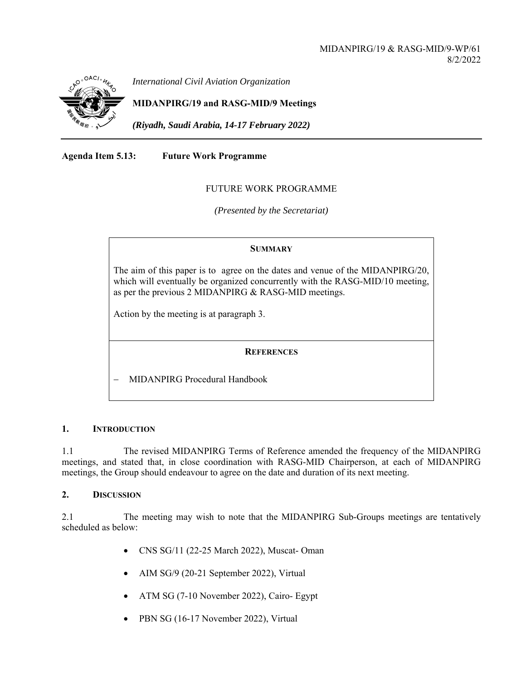

*International Civil Aviation Organization*

**MIDANPIRG/19 and RASG-MID/9 Meetings** 

*(Riyadh, Saudi Arabia, 14-17 February 2022)* 

**Agenda Item 5.13: Future Work Programme** 

### FUTURE WORK PROGRAMME

*(Presented by the Secretariat)* 

### **SUMMARY**

The aim of this paper is to agree on the dates and venue of the MIDANPIRG/20, which will eventually be organized concurrently with the RASG-MID/10 meeting, as per the previous 2 MIDANPIRG & RASG-MID meetings.

Action by the meeting is at paragraph 3.

# **REFERENCES**

MIDANPIRG Procedural Handbook

### **1. INTRODUCTION**

1.1 The revised MIDANPIRG Terms of Reference amended the frequency of the MIDANPIRG meetings, and stated that, in close coordination with RASG-MID Chairperson, at each of MIDANPIRG meetings, the Group should endeavour to agree on the date and duration of its next meeting.

### **2. DISCUSSION**

2.1 The meeting may wish to note that the MIDANPIRG Sub-Groups meetings are tentatively scheduled as below:

- CNS SG/11 (22-25 March 2022), Muscat- Oman
- AIM SG/9 (20-21 September 2022), Virtual
- ATM SG (7-10 November 2022), Cairo- Egypt
- PBN SG (16-17 November 2022), Virtual